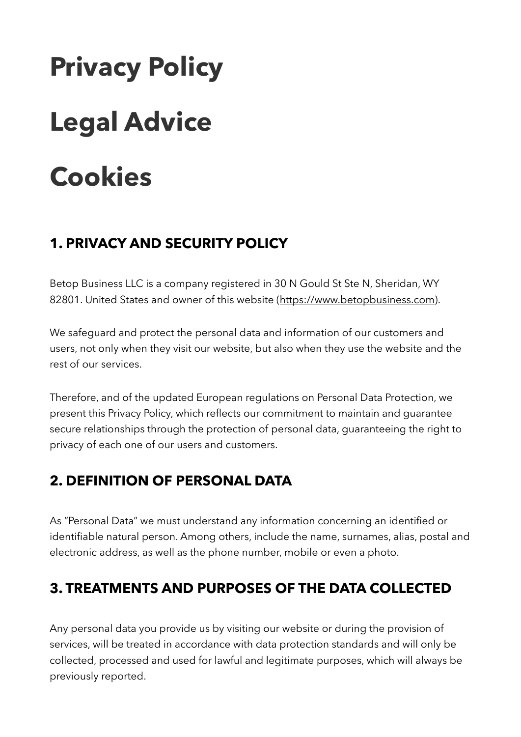# **Privacy Policy Legal Advice Cookies**

#### **1. PRIVACY AND SECURITY POLICY**

Betop Business LLC is a company registered in 30 N Gould St Ste N, Sheridan, WY 82801. United States and owner of this website ([https://www.betopbusiness.com\)](https://www.dansil.com/).

We safeguard and protect the personal data and information of our customers and users, not only when they visit our website, but also when they use the website and the rest of our services.

Therefore, and of the updated European regulations on Personal Data Protection, we present this Privacy Policy, which reflects our commitment to maintain and guarantee secure relationships through the protection of personal data, guaranteeing the right to privacy of each one of our users and customers.

#### **2. DEFINITION OF PERSONAL DATA**

As "Personal Data" we must understand any information concerning an identified or identifiable natural person. Among others, include the name, surnames, alias, postal and electronic address, as well as the phone number, mobile or even a photo.

#### **3. TREATMENTS AND PURPOSES OF THE DATA COLLECTED**

Any personal data you provide us by visiting our website or during the provision of services, will be treated in accordance with data protection standards and will only be collected, processed and used for lawful and legitimate purposes, which will always be previously reported.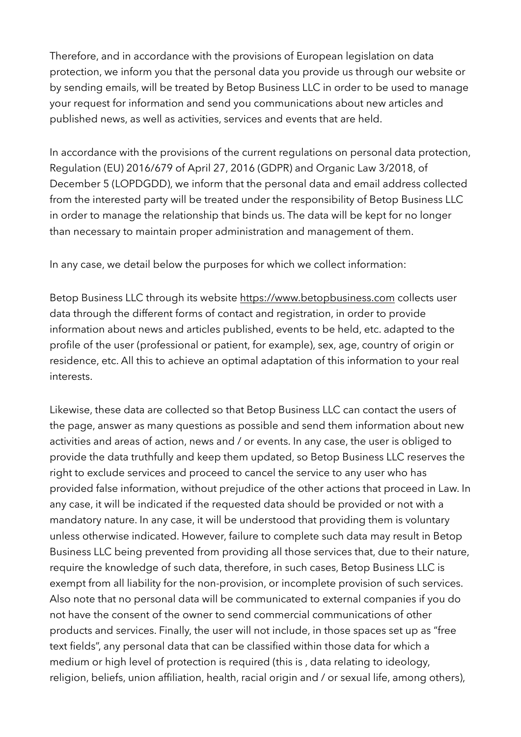Therefore, and in accordance with the provisions of European legislation on data protection, we inform you that the personal data you provide us through our website or by sending emails, will be treated by Betop Business LLC in order to be used to manage your request for information and send you communications about new articles and published news, as well as activities, services and events that are held.

In accordance with the provisions of the current regulations on personal data protection, Regulation (EU) 2016/679 of April 27, 2016 (GDPR) and Organic Law 3/2018, of December 5 (LOPDGDD), we inform that the personal data and email address collected from the interested party will be treated under the responsibility of Betop Business LLC in order to manage the relationship that binds us. The data will be kept for no longer than necessary to maintain proper administration and management of them.

In any case, we detail below the purposes for which we collect information:

Betop Business LLC through its website [https://www.betopbusiness.com](https://www.dansil.com/) collects user data through the different forms of contact and registration, in order to provide information about news and articles published, events to be held, etc. adapted to the profile of the user (professional or patient, for example), sex, age, country of origin or residence, etc. All this to achieve an optimal adaptation of this information to your real interests.

Likewise, these data are collected so that Betop Business LLC can contact the users of the page, answer as many questions as possible and send them information about new activities and areas of action, news and / or events. In any case, the user is obliged to provide the data truthfully and keep them updated, so Betop Business LLC reserves the right to exclude services and proceed to cancel the service to any user who has provided false information, without prejudice of the other actions that proceed in Law. In any case, it will be indicated if the requested data should be provided or not with a mandatory nature. In any case, it will be understood that providing them is voluntary unless otherwise indicated. However, failure to complete such data may result in Betop Business LLC being prevented from providing all those services that, due to their nature, require the knowledge of such data, therefore, in such cases, Betop Business LLC is exempt from all liability for the non-provision, or incomplete provision of such services. Also note that no personal data will be communicated to external companies if you do not have the consent of the owner to send commercial communications of other products and services. Finally, the user will not include, in those spaces set up as "free text fields", any personal data that can be classified within those data for which a medium or high level of protection is required (this is , data relating to ideology, religion, beliefs, union affiliation, health, racial origin and / or sexual life, among others),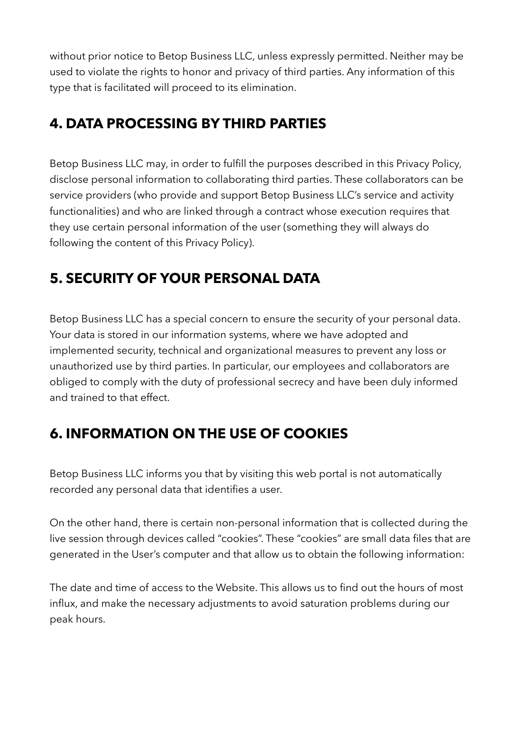without prior notice to Betop Business LLC, unless expressly permitted. Neither may be used to violate the rights to honor and privacy of third parties. Any information of this type that is facilitated will proceed to its elimination.

#### **4. DATA PROCESSING BY THIRD PARTIES**

Betop Business LLC may, in order to fulfill the purposes described in this Privacy Policy, disclose personal information to collaborating third parties. These collaborators can be service providers (who provide and support Betop Business LLC's service and activity functionalities) and who are linked through a contract whose execution requires that they use certain personal information of the user (something they will always do following the content of this Privacy Policy).

#### **5. SECURITY OF YOUR PERSONAL DATA**

Betop Business LLC has a special concern to ensure the security of your personal data. Your data is stored in our information systems, where we have adopted and implemented security, technical and organizational measures to prevent any loss or unauthorized use by third parties. In particular, our employees and collaborators are obliged to comply with the duty of professional secrecy and have been duly informed and trained to that effect.

#### **6. INFORMATION ON THE USE OF COOKIES**

Betop Business LLC informs you that by visiting this web portal is not automatically recorded any personal data that identifies a user.

On the other hand, there is certain non-personal information that is collected during the live session through devices called "cookies". These "cookies" are small data files that are generated in the User's computer and that allow us to obtain the following information:

The date and time of access to the Website. This allows us to find out the hours of most influx, and make the necessary adjustments to avoid saturation problems during our peak hours.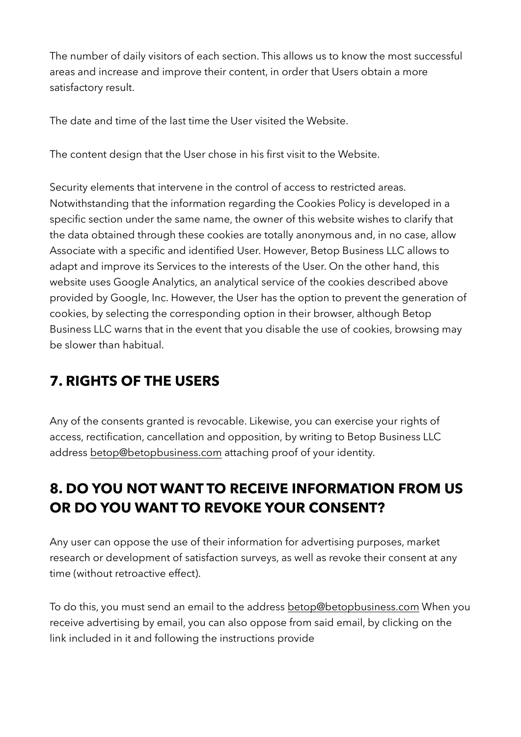The number of daily visitors of each section. This allows us to know the most successful areas and increase and improve their content, in order that Users obtain a more satisfactory result.

The date and time of the last time the User visited the Website.

The content design that the User chose in his first visit to the Website.

Security elements that intervene in the control of access to restricted areas. Notwithstanding that the information regarding the Cookies Policy is developed in a specific section under the same name, the owner of this website wishes to clarify that the data obtained through these cookies are totally anonymous and, in no case, allow Associate with a specific and identified User. However, Betop Business LLC allows to adapt and improve its Services to the interests of the User. On the other hand, this website uses Google Analytics, an analytical service of the cookies described above provided by Google, Inc. However, the User has the option to prevent the generation of cookies, by selecting the corresponding option in their browser, although Betop Business LLC warns that in the event that you disable the use of cookies, browsing may be slower than habitual.

#### **7. RIGHTS OF THE USERS**

Any of the consents granted is revocable. Likewise, you can exercise your rights of access, rectification, cancellation and opposition, by writing to Betop Business LLC address [betop@betopbusiness.com](mailto:betoop@betopbusiness.com) attaching proof of your identity.

#### **8. DO YOU NOT WANT TO RECEIVE INFORMATION FROM US OR DO YOU WANT TO REVOKE YOUR CONSENT?**

Any user can oppose the use of their information for advertising purposes, market research or development of satisfaction surveys, as well as revoke their consent at any time (without retroactive effect).

To do this, you must send an email to the address [betop@betopbusiness.com](mailto:info@dansil.com) When you receive advertising by email, you can also oppose from said email, by clicking on the link included in it and following the instructions provide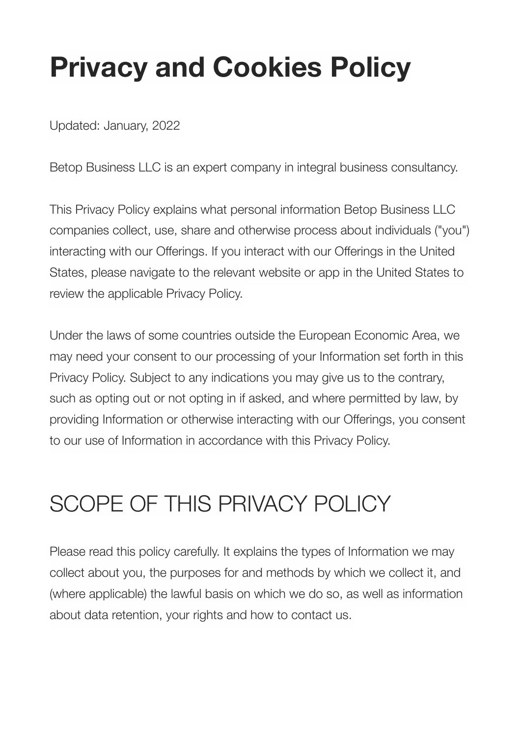## **Privacy and Cookies Policy**

Updated: January, 2022

Betop Business LLC is an expert company in integral business consultancy.

This Privacy Policy explains what personal information Betop Business LLC companies collect, use, share and otherwise process about individuals ("you") interacting with our Offerings. If you interact with our Offerings in the United States, please navigate to the relevant website or app in the United States to review the applicable Privacy Policy.

Under the laws of some countries outside the European Economic Area, we may need your consent to our processing of your Information set forth in this Privacy Policy. Subject to any indications you may give us to the contrary, such as opting out or not opting in if asked, and where permitted by law, by providing Information or otherwise interacting with our Offerings, you consent to our use of Information in accordance with this Privacy Policy.

### SCOPE OF THIS PRIVACY POLICY

Please read this policy carefully. It explains the types of Information we may collect about you, the purposes for and methods by which we collect it, and (where applicable) the lawful basis on which we do so, as well as information about data retention, your rights and how to contact us.